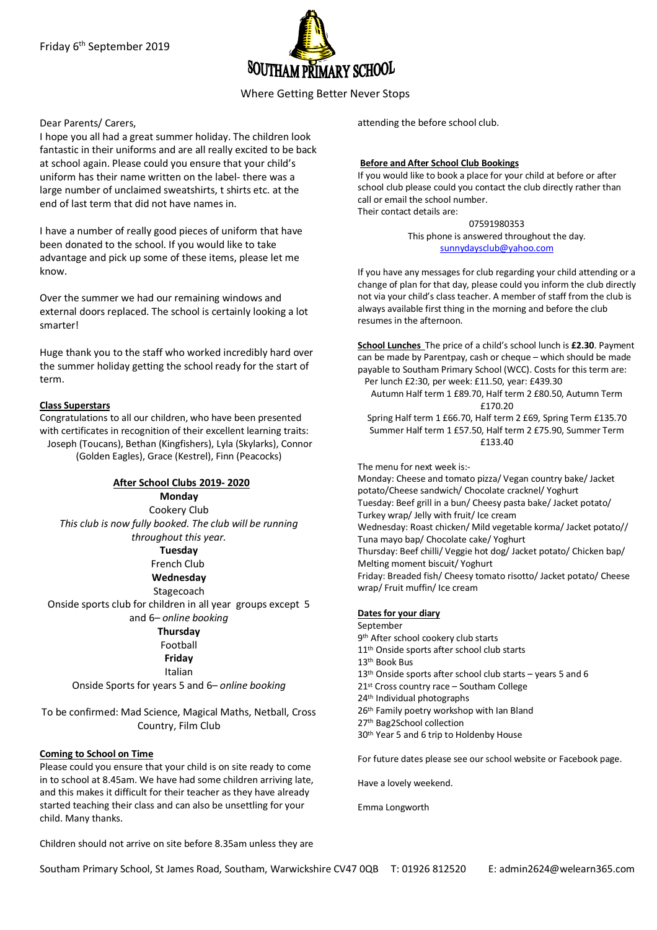

# Where Getting Better Never Stops

### Dear Parents/ Carers,

I hope you all had a great summer holiday. The children look fantastic in their uniforms and are all really excited to be back at school again. Please could you ensure that your child's uniform has their name written on the label- there was a large number of unclaimed sweatshirts, t shirts etc. at the end of last term that did not have names in.

I have a number of really good pieces of uniform that have been donated to the school. If you would like to take advantage and pick up some of these items, please let me know.

Over the summer we had our remaining windows and external doors replaced. The school is certainly looking a lot smarter!

Huge thank you to the staff who worked incredibly hard over the summer holiday getting the school ready for the start of term.

### **Class Superstars**

Congratulations to all our children, who have been presented with certificates in recognition of their excellent learning traits: Joseph (Toucans), Bethan (Kingfishers), Lyla (Skylarks), Connor (Golden Eagles), Grace (Kestrel), Finn (Peacocks)

**After School Clubs 2019- 2020 Monday** Cookery Club *This club is now fully booked. The club will be running throughout this year.* **Tuesday** French Club **Wednesday** Stagecoach Onside sports club for children in all year groups except 5 and 6*– online booking* **Thursday** Football **Friday** Italian

Onside Sports for years 5 and 6*– online booking*

To be confirmed: Mad Science, Magical Maths, Netball, Cross Country, Film Club

### **Coming to School on Time**

Please could you ensure that your child is on site ready to come in to school at 8.45am. We have had some children arriving late, and this makes it difficult for their teacher as they have already started teaching their class and can also be unsettling for your child. Many thanks.

attending the before school club.

#### **Before and After School Club Bookings**

If you would like to book a place for your child at before or after school club please could you contact the club directly rather than call or email the school number. Their contact details are:

> 07591980353 This phone is answered throughout the day. sunnydaysclub@yahoo.com

If you have any messages for club regarding your child attending or a change of plan for that day, please could you inform the club directly not via your child's class teacher. A member of staff from the club is always available first thing in the morning and before the club resumes in the afternoon.

**School Lunches** The price of a child's school lunch is **£2.30**. Payment can be made by Parentpay, cash or cheque – which should be made payable to Southam Primary School (WCC). Costs for this term are: Per lunch £2:30, per week: £11.50, year: £439.30

Autumn Half term 1 £89.70, Half term 2 £80.50, Autumn Term £170.20

Spring Half term 1 £66.70, Half term 2 £69, Spring Term £135.70 Summer Half term 1 £57.50, Half term 2 £75.90, Summer Term £133.40

The menu for next week is:- Monday: Cheese and tomato pizza/ Vegan country bake/ Jacket potato/Cheese sandwich/ Chocolate cracknel/ Yoghurt Tuesday: Beef grill in a bun/ Cheesy pasta bake/ Jacket potato/ Turkey wrap/ Jelly with fruit/ Ice cream Wednesday: Roast chicken/ Mild vegetable korma/ Jacket potato// Tuna mayo bap/ Chocolate cake/ Yoghurt Thursday: Beef chilli/ Veggie hot dog/ Jacket potato/ Chicken bap/ Melting moment biscuit/ Yoghurt Friday: Breaded fish/ Cheesy tomato risotto/ Jacket potato/ Cheese wrap/ Fruit muffin/ Ice cream

#### **Dates for your diary**

September 9<sup>th</sup> After school cookery club starts 11<sup>th</sup> Onside sports after school club starts 13th Book Bus 13th Onside sports after school club starts – years 5 and 6 21st Cross country race – Southam College 24th Individual photographs 26th Family poetry workshop with Ian Bland 27th Bag2School collection 30th Year 5 and 6 trip to Holdenby House

For future dates please see our school website or Facebook page.

Have a lovely weekend.

Emma Longworth

Children should not arrive on site before 8.35am unless they are

Southam Primary School, St James Road, Southam, Warwickshire CV47 0QB T: 01926 812520 E: admin2624@welearn365.com